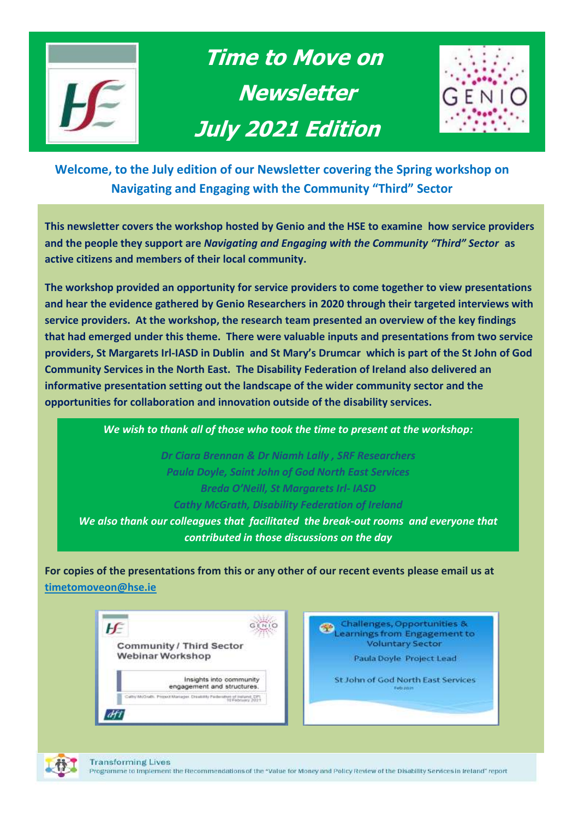

 **Time to Move on Newsletter July 2021 Edition** 



**Welcome, to the July edition of our Newsletter covering the Spring workshop on Navigating and Engaging with the Community "Third" Sector** 

**This newsletter covers the workshop hosted by Genio and the HSE to examine how service providers and the people they support are** *Navigating and Engaging with the Community "Third" Sector* **as active citizens and members of their local community.** 

**The workshop provided an opportunity for service providers to come together to view presentations and hear the evidence gathered by Genio Researchers in 2020 through their targeted interviews with service providers. At the workshop, the research team presented an overview of the key findings that had emerged under this theme. There were valuable inputs and presentations from two service providers, St Margarets Irl-IASD in Dublin and St Mary's Drumcar which is part of the St John of God Community Services in the North East. The Disability Federation of Ireland also delivered an informative presentation setting out the landscape of the wider community sector and the opportunities for collaboration and innovation outside of the disability services.**

*We wish to thank all of those who took the time to present at the workshop:*

*Dr Ciara Brennan & Dr Niamh Lally , SRF Researchers Paula Doyle, Saint John of God North East Services Breda O'Neill, St Margarets Irl- IASD Cathy McGrath, Disability Federation of Ireland*

*We also thank our colleagues that facilitated the break-out rooms and everyone that contributed in those discussions on the day*

**For copies of the presentations from this or any other of our recent events please email us at [timetomoveon@hse.ie](mailto:timetomoveon@hse.ie)**



Challenges, Opportunities & Challenges, Opportunities &<br>Learnings from Engagement to **Voluntary Sector** 

Paula Doyle Project Lead

St John of God North East Services



**Transforming Lives** 

Programme to Implement the Recommendations of the "Value for Money and Policy Review of the Disability Services in Ireland" report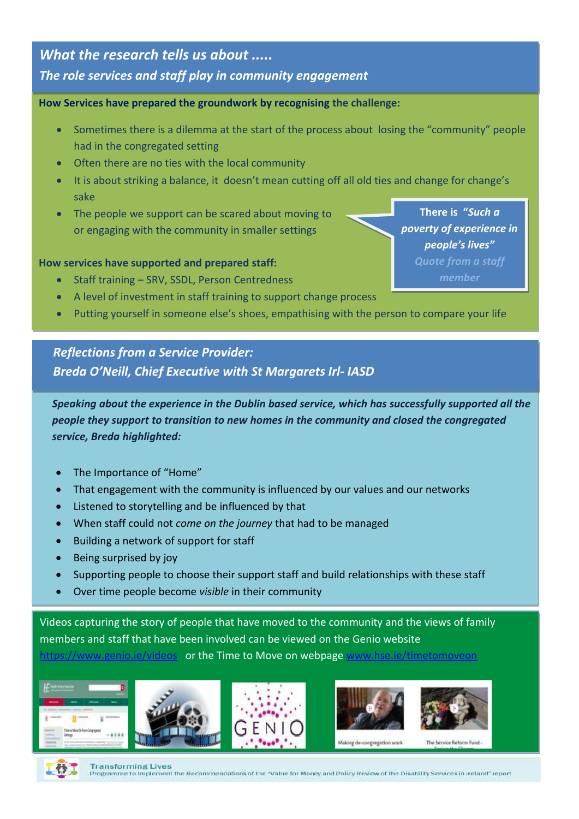### *What the research tells us about .....*

### *The role services and staff play in community engagement*

#### **How Services have prepared the groundwork by recognising the challenge: Consider what rights-based approaches are being taken when supporting people to move from congregated settings to the community**

- **Explore that Sometimes there is a dilemma at the start of the process about losing the "community" people** had in the congregated setting
	- Often there are no ties with the local community
	- It is about striking a balance, it doesn't mean cutting off all old ties and change for change's sake
	- The people we support can be scared about moving to or engaging with the community in smaller settings

#### **How services have supported and prepared staff:**

- Staff training SRV, SSDL, Person Centredness
- A level of investment in staff training to support change process
- Putting yourself in someone else's shoes, empathising with the person to compare your life

### *Reflections from a Service Provider: Breda O'Neill, Chief Executive with St Margarets Irl- IASD*

*Speaking about the experience in the Dublin based service, which has successfully supported all the people they support to transition to new homes in the community and closed the congregated service, Breda highlighted:*

- The Importance of "Home"
- That engagement with the community is influenced by our values and our networks
- Listened to storytelling and be influenced by that
- When staff could not *come on the journey* that had to be managed
- Building a network of support for staff
- Being surprised by joy
- Supporting people to choose their support staff and build relationships with these staff
- Over time people become *visible* in their community

Videos capturing the story of people that have moved to the community and the views of family members and staff that have been involved can be viewed on the Genio website

#### <https://www.genio.ie/videos>or the Time to Move on webpage [www.hse.ie/timetomoveon](http://www.hse.ie/timetomoveon)











Making de-c egregation work



**Transforming Lives** Programme to Implement the Recommendations of the "Value for Money and Policy Review of the Disability Services in Ireland" report

**There is "***Such a poverty of experience in people's lives" Quote from a staff*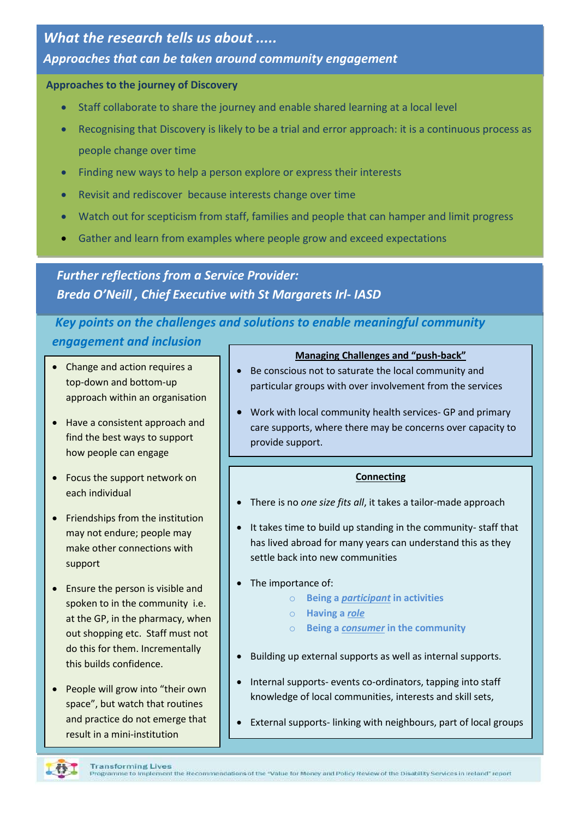# *What the research tells us about ..... Approaches that can be taken around community engagement*

#### **Approaches to the journey of Discovery**

- Staff collaborate to share the journey and enable shared learning at a local level
- Recognising that Discovery is likely to be a trial and error approach: it is a continuous process as people change over time
- Finding new ways to help a person explore or express their interests
- Revisit and rediscover because interests change over time
- Watch out for scepticism from staff, families and people that can hamper and limit progress
- Gather and learn from examples where people grow and exceed expectations

*Reflections from a Service Provider: Breda O'Neill , Chief Executive with St Margarets Irl- IASDFurther reflections from a Service Provider:* 

# *Key points on the challenges and solutions to enable meaningful community*

#### *engagement and inclusion*

- Change and action requires a top-down and bottom-up approach within an organisation
- Have a consistent approach and find the best ways to support how people can engage
- Focus the support network on each individual
- Friendships from the institution may not endure; people may make other connections with support
- Ensure the person is visible and spoken to in the community i.e. at the GP, in the pharmacy, when out shopping etc. Staff must not do this for them. Incrementally this builds confidence.
- People will grow into "their own space", but watch that routines and practice do not emerge that result in a mini-institution

#### **Managing Challenges and "push-back"**

- Be conscious not to saturate the local community and particular groups with over involvement from the services
- Work with local community health services- GP and primary care supports, where there may be concerns over capacity to provide support.

#### **Connecting**

- There is no *one size fits all*, it takes a tailor-made approach
- It takes time to build up standing in the community- staff that has lived abroad for many years can understand this as they settle back into new communities
- The importance of:
	- o **Being a** *participant* **in activities**
	- o **Having a** *role*
	- o **Being a** *consumer* **in the community**
- Building up external supports as well as internal supports.
- Internal supports- events co-ordinators, tapping into staff knowledge of local communities, interests and skill sets,
- External supports- linking with neighbours, part of local groups

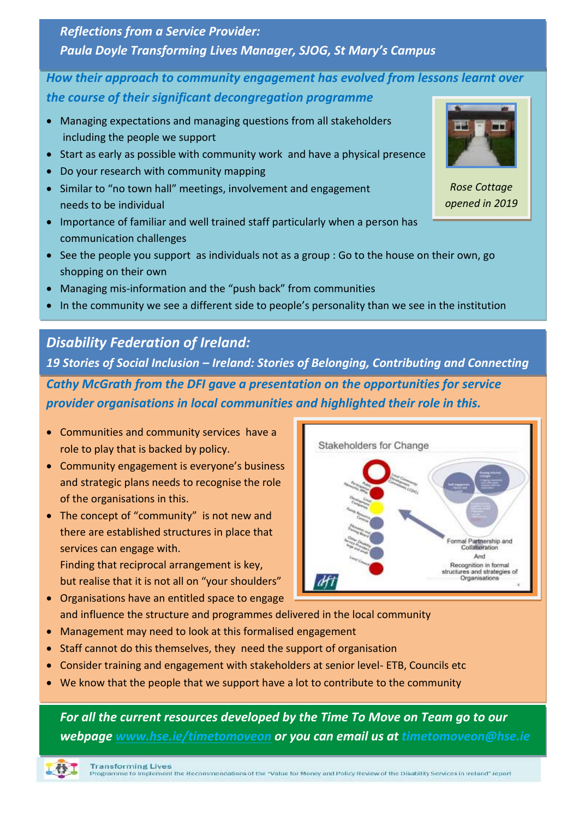# *Reflections from a Service Provider: Paula Doyle Transforming Lives Manager, SJOG, St Mary's Campus*

### *How their approach to community engagement has evolved from lessons learnt over the course of their significant decongregation programme*

- Managing expectations and managing questions from all stakeholders including the people we support
- Start as early as possible with community work and have a physical presence
- Do your research with community mapping
- Similar to "no town hall" meetings, involvement and engagement needs to be individual
- Importance of familiar and well trained staff particularly when a person has communication challenges
- See the people you support as individuals not as a group : Go to the house on their own, go shopping on their own
- Managing mis-information and the "push back" from communities
- In the community we see a different side to people's personality than we see in the institution

# *Disability Federation of Ireland:*

*Cathy McGrath from the DFI gave a presentation on the opportunities for service provider organisations in local communities and highlighted their role in this. 19 Stories of Social Inclusion – Ireland: Stories of Belonging, Contributing and Connecting* 

- Communities and community services have a role to play that is backed by policy.
- Community engagement is everyone's business and strategic plans needs to recognise the role of the organisations in this.
- The concept of "community" is not new and there are established structures in place that services can engage with.

Finding that reciprocal arrangement is key, but realise that it is not all on "your shoulders"

- Organisations have an entitled space to engage and influence the structure and programmes delivered in the local community
- Management may need to look at this formalised engagement
- Staff cannot do this themselves, they need the support of organisation
- Consider training and engagement with stakeholders at senior level- ETB, Councils etc
- We know that the people that we support have a lot to contribute to the community

*For all the current resources developed by the Time To Move on Team go to our webpage [www.hse.ie/timetomoveon](http://www.hse.ie/timetomoveon) or you can email us at timetomoveon@hse.ie*





*Rose Cottage opened in 2019*